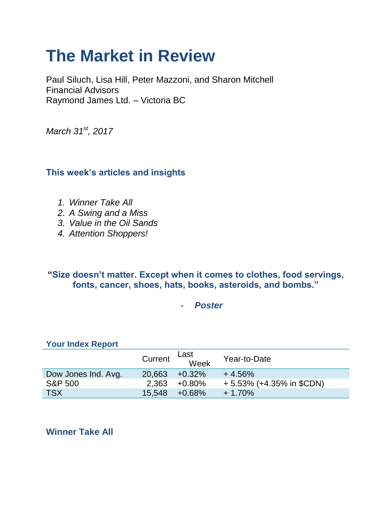# **The Market in Review**

Paul Siluch, Lisa Hill, Peter Mazzoni, and Sharon Mitchell Financial Advisors Raymond James Ltd. – Victoria BC

*March 31st, 2017*

# **This week's articles and insights**

- *1. Winner Take All*
- *2. A Swing and a Miss*
- *3. Value in the Oil Sands*
- *4. Attention Shoppers!*

## **"Size doesn't matter. Except when it comes to clothes, food servings, fonts, cancer, shoes, hats, books, asteroids, and bombs."**

- *Poster*

#### **Your Index Report**

|                     |        | Last<br>Current Week | Year-to-Date                |
|---------------------|--------|----------------------|-----------------------------|
| Dow Jones Ind. Avg. | 20.663 | $+0.32\%$            | $+4.56%$                    |
| <b>S&amp;P 500</b>  |        | $2,363 +0.80\%$      | $+5.53\%$ (+4.35% in \$CDN) |
| <b>TSX</b>          | 15.548 | +0.68%               | $+1.70%$                    |

**Winner Take All**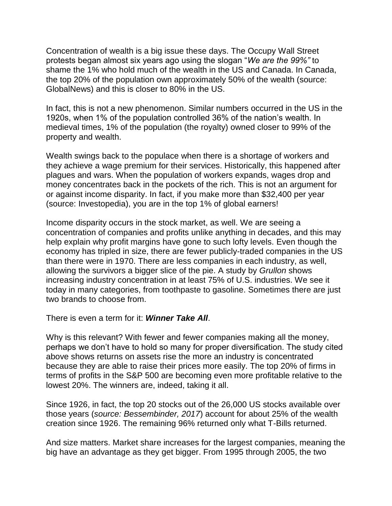Concentration of wealth is a big issue these days. The Occupy Wall Street protests began almost six years ago using the slogan "*We are the 99%"* to shame the 1% who hold much of the wealth in the US and Canada. In Canada, the top 20% of the population own approximately 50% of the wealth (source: GlobalNews) and this is closer to 80% in the US.

In fact, this is not a new phenomenon. Similar numbers occurred in the US in the 1920s, when 1% of the population controlled 36% of the nation's wealth. In medieval times, 1% of the population (the royalty) owned closer to 99% of the property and wealth.

Wealth swings back to the populace when there is a shortage of workers and they achieve a wage premium for their services. Historically, this happened after plagues and wars. When the population of workers expands, wages drop and money concentrates back in the pockets of the rich. This is not an argument for or against income disparity. In fact, if you make more than \$32,400 per year (source: Investopedia), you are in the top 1% of global earners!

Income disparity occurs in the stock market, as well. We are seeing a concentration of companies and profits unlike anything in decades, and this may help explain why profit margins have gone to such lofty levels. Even though the economy has tripled in size, there are fewer publicly-traded companies in the US than there were in 1970. There are less companies in each industry, as well, allowing the survivors a bigger slice of the pie. A study by *Grullon* shows increasing industry concentration in at least 75% of U.S. industries. We see it today in many categories, from toothpaste to gasoline. Sometimes there are just two brands to choose from.

There is even a term for it: *Winner Take All*.

Why is this relevant? With fewer and fewer companies making all the money, perhaps we don't have to hold so many for proper diversification. The study cited above shows returns on assets rise the more an industry is concentrated because they are able to raise their prices more easily. The top 20% of firms in terms of profits in the S&P 500 are becoming even more profitable relative to the lowest 20%. The winners are, indeed, taking it all.

Since 1926, in fact, the top 20 stocks out of the 26,000 US stocks available over those years (*source: Bessembinder, 2017*) account for about 25% of the wealth creation since 1926. The remaining 96% returned only what T-Bills returned.

And size matters. Market share increases for the largest companies, meaning the big have an advantage as they get bigger. From 1995 through 2005, the two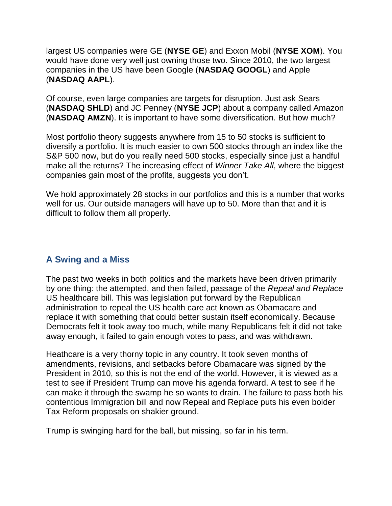largest US companies were GE (**NYSE GE**) and Exxon Mobil (**NYSE XOM**). You would have done very well just owning those two. Since 2010, the two largest companies in the US have been Google (**NASDAQ GOOGL**) and Apple (**NASDAQ AAPL**).

Of course, even large companies are targets for disruption. Just ask Sears (**NASDAQ SHLD**) and JC Penney (**NYSE JCP**) about a company called Amazon (**NASDAQ AMZN**). It is important to have some diversification. But how much?

Most portfolio theory suggests anywhere from 15 to 50 stocks is sufficient to diversify a portfolio. It is much easier to own 500 stocks through an index like the S&P 500 now, but do you really need 500 stocks, especially since just a handful make all the returns? The increasing effect of *Winner Take All*, where the biggest companies gain most of the profits, suggests you don't.

We hold approximately 28 stocks in our portfolios and this is a number that works well for us. Our outside managers will have up to 50. More than that and it is difficult to follow them all properly.

#### **A Swing and a Miss**

The past two weeks in both politics and the markets have been driven primarily by one thing: the attempted, and then failed, passage of the *Repeal and Replace* US healthcare bill. This was legislation put forward by the Republican administration to repeal the US health care act known as Obamacare and replace it with something that could better sustain itself economically. Because Democrats felt it took away too much, while many Republicans felt it did not take away enough, it failed to gain enough votes to pass, and was withdrawn.

Heathcare is a very thorny topic in any country. It took seven months of amendments, revisions, and setbacks before Obamacare was signed by the President in 2010, so this is not the end of the world. However, it is viewed as a test to see if President Trump can move his agenda forward. A test to see if he can make it through the swamp he so wants to drain. The failure to pass both his contentious Immigration bill and now Repeal and Replace puts his even bolder Tax Reform proposals on shakier ground.

Trump is swinging hard for the ball, but missing, so far in his term.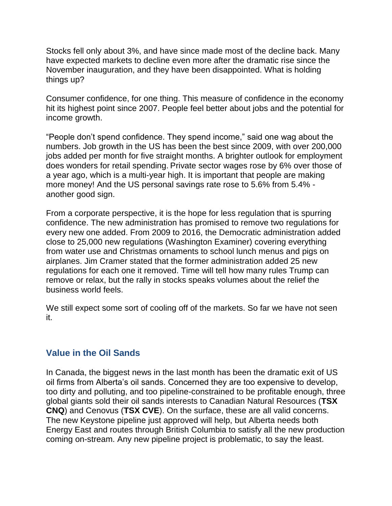Stocks fell only about 3%, and have since made most of the decline back. Many have expected markets to decline even more after the dramatic rise since the November inauguration, and they have been disappointed. What is holding things up?

Consumer confidence, for one thing. This measure of confidence in the economy hit its highest point since 2007. People feel better about jobs and the potential for income growth.

"People don't spend confidence. They spend income," said one wag about the numbers. Job growth in the US has been the best since 2009, with over 200,000 jobs added per month for five straight months. A brighter outlook for employment does wonders for retail spending. Private sector wages rose by 6% over those of a year ago, which is a multi-year high. It is important that people are making more money! And the US personal savings rate rose to 5.6% from 5.4% another good sign.

From a corporate perspective, it is the hope for less regulation that is spurring confidence. The new administration has promised to remove two regulations for every new one added. From 2009 to 2016, the Democratic administration added close to 25,000 new regulations (Washington Examiner) covering everything from water use and Christmas ornaments to school lunch menus and pigs on airplanes. Jim Cramer stated that the former administration added 25 new regulations for each one it removed. Time will tell how many rules Trump can remove or relax, but the rally in stocks speaks volumes about the relief the business world feels.

We still expect some sort of cooling off of the markets. So far we have not seen it.

#### **Value in the Oil Sands**

In Canada, the biggest news in the last month has been the dramatic exit of US oil firms from Alberta's oil sands. Concerned they are too expensive to develop, too dirty and polluting, and too pipeline-constrained to be profitable enough, three global giants sold their oil sands interests to Canadian Natural Resources (**TSX CNQ**) and Cenovus (**TSX CVE**). On the surface, these are all valid concerns. The new Keystone pipeline just approved will help, but Alberta needs both Energy East and routes through British Columbia to satisfy all the new production coming on-stream. Any new pipeline project is problematic, to say the least.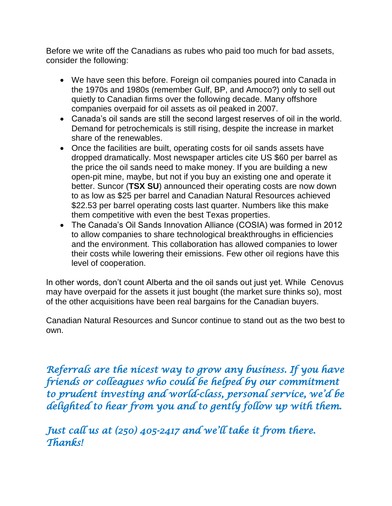Before we write off the Canadians as rubes who paid too much for bad assets, consider the following:

- We have seen this before. Foreign oil companies poured into Canada in the 1970s and 1980s (remember Gulf, BP, and Amoco?) only to sell out quietly to Canadian firms over the following decade. Many offshore companies overpaid for oil assets as oil peaked in 2007.
- Canada's oil sands are still the second largest reserves of oil in the world. Demand for petrochemicals is still rising, despite the increase in market share of the renewables.
- Once the facilities are built, operating costs for oil sands assets have dropped dramatically. Most newspaper articles cite US \$60 per barrel as the price the oil sands need to make money. If you are building a new open-pit mine, maybe, but not if you buy an existing one and operate it better. Suncor (**TSX SU**) announced their operating costs are now down to as low as \$25 per barrel and Canadian Natural Resources achieved \$22.53 per barrel operating costs last quarter. Numbers like this make them competitive with even the best Texas properties.
- The Canada's Oil Sands Innovation Alliance (COSIA) was formed in 2012 to allow companies to share technological breakthroughs in efficiencies and the environment. This collaboration has allowed companies to lower their costs while lowering their emissions. Few other oil regions have this level of cooperation.

In other words, don't count Alberta and the oil sands out just yet. While Cenovus may have overpaid for the assets it just bought (the market sure thinks so), most of the other acquisitions have been real bargains for the Canadian buyers.

Canadian Natural Resources and Suncor continue to stand out as the two best to own.

*Referrals are the nicest way to grow any business. If you have friends or colleagues who could be helped by our commitment to prudent investing and world-class, personal service, we'd be delighted to hear from you and to gently follow up with them.* 

*Just call us at (250) 405-2417 and we'll take it from there. Thanks!*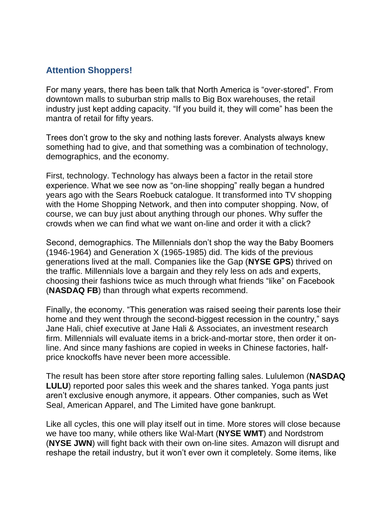### **Attention Shoppers!**

For many years, there has been talk that North America is "over-stored". From downtown malls to suburban strip malls to Big Box warehouses, the retail industry just kept adding capacity. "If you build it, they will come" has been the mantra of retail for fifty years.

Trees don't grow to the sky and nothing lasts forever. Analysts always knew something had to give, and that something was a combination of technology, demographics, and the economy.

First, technology. Technology has always been a factor in the retail store experience. What we see now as "on-line shopping" really began a hundred years ago with the Sears Roebuck catalogue. It transformed into TV shopping with the Home Shopping Network, and then into computer shopping. Now, of course, we can buy just about anything through our phones. Why suffer the crowds when we can find what we want on-line and order it with a click?

Second, demographics. The Millennials don't shop the way the Baby Boomers (1946-1964) and Generation X (1965-1985) did. The kids of the previous generations lived at the mall. Companies like the Gap (**NYSE GPS**) thrived on the traffic. Millennials love a bargain and they rely less on ads and experts, choosing their fashions twice as much through what friends "like" on Facebook (**NASDAQ FB**) than through what experts recommend.

Finally, the economy. "This generation was raised seeing their parents lose their home and they went through the second-biggest recession in the country," says Jane Hali, chief executive at Jane Hali & Associates, an investment research firm. Millennials will evaluate items in a brick-and-mortar store, then order it online. And since many fashions are copied in weeks in Chinese factories, halfprice knockoffs have never been more accessible.

The result has been store after store reporting falling sales. Lululemon (**NASDAQ LULU**) reported poor sales this week and the shares tanked. Yoga pants just aren't exclusive enough anymore, it appears. Other companies, such as Wet Seal, American Apparel, and The Limited have gone bankrupt.

Like all cycles, this one will play itself out in time. More stores will close because we have too many, while others like Wal-Mart (**NYSE WMT**) and Nordstrom (**NYSE JWN**) will fight back with their own on-line sites. Amazon will disrupt and reshape the retail industry, but it won't ever own it completely. Some items, like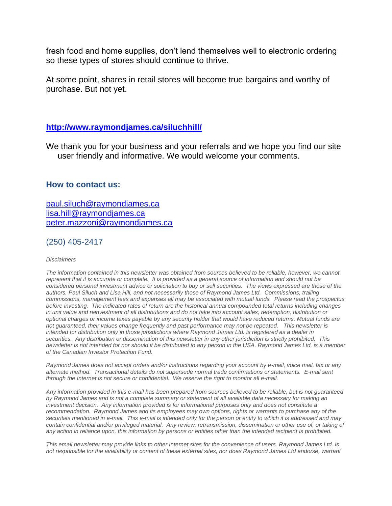fresh food and home supplies, don't lend themselves well to electronic ordering so these types of stores should continue to thrive.

At some point, shares in retail stores will become true bargains and worthy of purchase. But not yet.

#### **<http://www.raymondjames.ca/siluchhill/>**

We thank you for your business and your referrals and we hope you find our site user friendly and informative. We would welcome your comments.

#### **How to contact us:**

[paul.siluch@raymondjames.ca](https://owa-kel.raymondjames.ca/owa/redir.aspx?SURL=z0BxOCXDlQ-Aad1f_a9igaARxm5Rd1VXE7UcmD4mZ3IZiacj7DPTCG0AYQBpAGwAdABvADoAcABhAHUAbAAuAHMAaQBsAHUAYwBoAEAAcgBhAHkAbQBvAG4AZABqAGEAbQBlAHMALgBjAGEA&URL=mailto%3apaul.siluch%40raymondjames.ca) [lisa.hill@raymondjames.ca](https://owa-kel.raymondjames.ca/owa/redir.aspx?SURL=glaBgdTdxPMFpiw4eumg-PzZXpo9vJyObrXLs1TKtIAZiacj7DPTCG0AYQBpAGwAdABvADoAbABpAHMAYQAuAGgAaQBsAGwAQAByAGEAeQBtAG8AbgBkAGoAYQBtAGUAcwAuAGMAYQA.&URL=mailto%3alisa.hill%40raymondjames.ca) [peter.mazzoni@raymondjames.ca](https://owa-kel.raymondjames.ca/owa/redir.aspx?SURL=3c7mDL9-cZxYXt7CvkOu20QVFy1WCaDQxUZ3BQE6vecZiacj7DPTCG0AYQBpAGwAdABvADoAcABlAHQAZQByAC4AbQBhAHoAegBvAG4AaQBAAHIAYQB5AG0AbwBuAGQAagBhAG0AZQBzAC4AYwBhAA..&URL=mailto%3apeter.mazzoni%40raymondjames.ca)

(250) 405-2417

#### *Disclaimers*

*[The information contained in this newsletter was obtained from sources believed to be reliable, however, we cannot](https://owa-kel.raymondjames.ca/owa/redir.aspx?SURL=z0BxOCXDlQ-Aad1f_a9igaARxm5Rd1VXE7UcmD4mZ3IZiacj7DPTCG0AYQBpAGwAdABvADoAcABhAHUAbAAuAHMAaQBsAHUAYwBoAEAAcgBhAHkAbQBvAG4AZABqAGEAbQBlAHMALgBjAGEA&URL=mailto%3apaul.siluch%40raymondjames.ca)  represent that it is accurate or complete. [It is provided as a general source of information and should not be](https://owa-kel.raymondjames.ca/owa/redir.aspx?SURL=z0BxOCXDlQ-Aad1f_a9igaARxm5Rd1VXE7UcmD4mZ3IZiacj7DPTCG0AYQBpAGwAdABvADoAcABhAHUAbAAuAHMAaQBsAHUAYwBoAEAAcgBhAHkAbQBvAG4AZABqAGEAbQBlAHMALgBjAGEA&URL=mailto%3apaul.siluch%40raymondjames.ca)  [considered personal investment advice or solicitation to buy or sell securities.](https://owa-kel.raymondjames.ca/owa/redir.aspx?SURL=z0BxOCXDlQ-Aad1f_a9igaARxm5Rd1VXE7UcmD4mZ3IZiacj7DPTCG0AYQBpAGwAdABvADoAcABhAHUAbAAuAHMAaQBsAHUAYwBoAEAAcgBhAHkAbQBvAG4AZABqAGEAbQBlAHMALgBjAGEA&URL=mailto%3apaul.siluch%40raymondjames.ca) The views expressed are those of the [authors, Paul Siluch and Lisa Hill, and not necessarily those of Raymond James Ltd.](https://owa-kel.raymondjames.ca/owa/redir.aspx?SURL=z0BxOCXDlQ-Aad1f_a9igaARxm5Rd1VXE7UcmD4mZ3IZiacj7DPTCG0AYQBpAGwAdABvADoAcABhAHUAbAAuAHMAaQBsAHUAYwBoAEAAcgBhAHkAbQBvAG4AZABqAGEAbQBlAHMALgBjAGEA&URL=mailto%3apaul.siluch%40raymondjames.ca) Commissions, trailing [commissions, management fees and expenses all may be associated with mutual funds.](https://owa-kel.raymondjames.ca/owa/redir.aspx?SURL=z0BxOCXDlQ-Aad1f_a9igaARxm5Rd1VXE7UcmD4mZ3IZiacj7DPTCG0AYQBpAGwAdABvADoAcABhAHUAbAAuAHMAaQBsAHUAYwBoAEAAcgBhAHkAbQBvAG4AZABqAGEAbQBlAHMALgBjAGEA&URL=mailto%3apaul.siluch%40raymondjames.ca) Please read the prospectus before investing. [The indicated rates of return are the historical annual compounded total returns including changes](https://owa-kel.raymondjames.ca/owa/redir.aspx?SURL=z0BxOCXDlQ-Aad1f_a9igaARxm5Rd1VXE7UcmD4mZ3IZiacj7DPTCG0AYQBpAGwAdABvADoAcABhAHUAbAAuAHMAaQBsAHUAYwBoAEAAcgBhAHkAbQBvAG4AZABqAGEAbQBlAHMALgBjAGEA&URL=mailto%3apaul.siluch%40raymondjames.ca)  [in unit value and reinvestment of all distributions and do not take into account sales, redemption, distribution or](https://owa-kel.raymondjames.ca/owa/redir.aspx?SURL=z0BxOCXDlQ-Aad1f_a9igaARxm5Rd1VXE7UcmD4mZ3IZiacj7DPTCG0AYQBpAGwAdABvADoAcABhAHUAbAAuAHMAaQBsAHUAYwBoAEAAcgBhAHkAbQBvAG4AZABqAGEAbQBlAHMALgBjAGEA&URL=mailto%3apaul.siluch%40raymondjames.ca)  [optional charges or income taxes payable by any security holder that would have reduced returns. Mutual funds are](https://owa-kel.raymondjames.ca/owa/redir.aspx?SURL=z0BxOCXDlQ-Aad1f_a9igaARxm5Rd1VXE7UcmD4mZ3IZiacj7DPTCG0AYQBpAGwAdABvADoAcABhAHUAbAAuAHMAaQBsAHUAYwBoAEAAcgBhAHkAbQBvAG4AZABqAGEAbQBlAHMALgBjAGEA&URL=mailto%3apaul.siluch%40raymondjames.ca)  [not guaranteed, their values change frequently and past performance may not be repeated.](https://owa-kel.raymondjames.ca/owa/redir.aspx?SURL=z0BxOCXDlQ-Aad1f_a9igaARxm5Rd1VXE7UcmD4mZ3IZiacj7DPTCG0AYQBpAGwAdABvADoAcABhAHUAbAAuAHMAaQBsAHUAYwBoAEAAcgBhAHkAbQBvAG4AZABqAGEAbQBlAHMALgBjAGEA&URL=mailto%3apaul.siluch%40raymondjames.ca) This newsletter is [intended for distribution only in those jurisdictions where Raymond James Ltd. is registered as a dealer in](https://owa-kel.raymondjames.ca/owa/redir.aspx?SURL=z0BxOCXDlQ-Aad1f_a9igaARxm5Rd1VXE7UcmD4mZ3IZiacj7DPTCG0AYQBpAGwAdABvADoAcABhAHUAbAAuAHMAaQBsAHUAYwBoAEAAcgBhAHkAbQBvAG4AZABqAGEAbQBlAHMALgBjAGEA&URL=mailto%3apaul.siluch%40raymondjames.ca)  securities. [Any distribution or dissemination of this newsletter in any other jurisdiction is strictly prohibited.](https://owa-kel.raymondjames.ca/owa/redir.aspx?SURL=z0BxOCXDlQ-Aad1f_a9igaARxm5Rd1VXE7UcmD4mZ3IZiacj7DPTCG0AYQBpAGwAdABvADoAcABhAHUAbAAuAHMAaQBsAHUAYwBoAEAAcgBhAHkAbQBvAG4AZABqAGEAbQBlAHMALgBjAGEA&URL=mailto%3apaul.siluch%40raymondjames.ca) This [newsletter is not intended for nor should it be distributed to any person in the USA. Raymond James Ltd. is a member](https://owa-kel.raymondjames.ca/owa/redir.aspx?SURL=z0BxOCXDlQ-Aad1f_a9igaARxm5Rd1VXE7UcmD4mZ3IZiacj7DPTCG0AYQBpAGwAdABvADoAcABhAHUAbAAuAHMAaQBsAHUAYwBoAEAAcgBhAHkAbQBvAG4AZABqAGEAbQBlAHMALgBjAGEA&URL=mailto%3apaul.siluch%40raymondjames.ca)  [of the Canadian Investor Protection Fund.](https://owa-kel.raymondjames.ca/owa/redir.aspx?SURL=z0BxOCXDlQ-Aad1f_a9igaARxm5Rd1VXE7UcmD4mZ3IZiacj7DPTCG0AYQBpAGwAdABvADoAcABhAHUAbAAuAHMAaQBsAHUAYwBoAEAAcgBhAHkAbQBvAG4AZABqAGEAbQBlAHMALgBjAGEA&URL=mailto%3apaul.siluch%40raymondjames.ca)* 

*Raymond James [does not accept orders and/or instructions regarding your account by e-mail, voice mail, fax or any](https://owa-kel.raymondjames.ca/owa/redir.aspx?SURL=z0BxOCXDlQ-Aad1f_a9igaARxm5Rd1VXE7UcmD4mZ3IZiacj7DPTCG0AYQBpAGwAdABvADoAcABhAHUAbAAuAHMAaQBsAHUAYwBoAEAAcgBhAHkAbQBvAG4AZABqAGEAbQBlAHMALgBjAGEA&URL=mailto%3apaul.siluch%40raymondjames.ca)  alternate method. [Transactional details do not supersede normal trade confirmations or statements.](https://owa-kel.raymondjames.ca/owa/redir.aspx?SURL=z0BxOCXDlQ-Aad1f_a9igaARxm5Rd1VXE7UcmD4mZ3IZiacj7DPTCG0AYQBpAGwAdABvADoAcABhAHUAbAAuAHMAaQBsAHUAYwBoAEAAcgBhAHkAbQBvAG4AZABqAGEAbQBlAHMALgBjAGEA&URL=mailto%3apaul.siluch%40raymondjames.ca) E-mail sent [through the Internet is not secure or confidential.](https://owa-kel.raymondjames.ca/owa/redir.aspx?SURL=z0BxOCXDlQ-Aad1f_a9igaARxm5Rd1VXE7UcmD4mZ3IZiacj7DPTCG0AYQBpAGwAdABvADoAcABhAHUAbAAuAHMAaQBsAHUAYwBoAEAAcgBhAHkAbQBvAG4AZABqAGEAbQBlAHMALgBjAGEA&URL=mailto%3apaul.siluch%40raymondjames.ca) We reserve the right to monitor all e-mail.*

*[Any information provided in this e-mail has been prepared from sources believed to be reliable, but is not guaranteed](https://owa-kel.raymondjames.ca/owa/redir.aspx?SURL=z0BxOCXDlQ-Aad1f_a9igaARxm5Rd1VXE7UcmD4mZ3IZiacj7DPTCG0AYQBpAGwAdABvADoAcABhAHUAbAAuAHMAaQBsAHUAYwBoAEAAcgBhAHkAbQBvAG4AZABqAGEAbQBlAHMALgBjAGEA&URL=mailto%3apaul.siluch%40raymondjames.ca)  by Raymond James [and is not a complete summary or statement of all available data necessary for making an](https://owa-kel.raymondjames.ca/owa/redir.aspx?SURL=z0BxOCXDlQ-Aad1f_a9igaARxm5Rd1VXE7UcmD4mZ3IZiacj7DPTCG0AYQBpAGwAdABvADoAcABhAHUAbAAuAHMAaQBsAHUAYwBoAEAAcgBhAHkAbQBvAG4AZABqAGEAbQBlAHMALgBjAGEA&URL=mailto%3apaul.siluch%40raymondjames.ca)  investment decision. Any information provided is [for informational purposes only and does not constitute a](https://owa-kel.raymondjames.ca/owa/redir.aspx?SURL=z0BxOCXDlQ-Aad1f_a9igaARxm5Rd1VXE7UcmD4mZ3IZiacj7DPTCG0AYQBpAGwAdABvADoAcABhAHUAbAAuAHMAaQBsAHUAYwBoAEAAcgBhAHkAbQBvAG4AZABqAGEAbQBlAHMALgBjAGEA&URL=mailto%3apaul.siluch%40raymondjames.ca)  recommendation. Raymond James [and its employees may own options, rights or warrants to purchase any of the](https://owa-kel.raymondjames.ca/owa/redir.aspx?SURL=z0BxOCXDlQ-Aad1f_a9igaARxm5Rd1VXE7UcmD4mZ3IZiacj7DPTCG0AYQBpAGwAdABvADoAcABhAHUAbAAuAHMAaQBsAHUAYwBoAEAAcgBhAHkAbQBvAG4AZABqAGEAbQBlAHMALgBjAGEA&URL=mailto%3apaul.siluch%40raymondjames.ca)  securities mentioned in e-mail. [This e-mail is intended only for the person or entity to](https://owa-kel.raymondjames.ca/owa/redir.aspx?SURL=z0BxOCXDlQ-Aad1f_a9igaARxm5Rd1VXE7UcmD4mZ3IZiacj7DPTCG0AYQBpAGwAdABvADoAcABhAHUAbAAuAHMAaQBsAHUAYwBoAEAAcgBhAHkAbQBvAG4AZABqAGEAbQBlAHMALgBjAGEA&URL=mailto%3apaul.siluch%40raymondjames.ca) which it is addressed and may contain confidential and/or privileged material. [Any review, retransmission, dissemination or other use of, or taking of](https://owa-kel.raymondjames.ca/owa/redir.aspx?SURL=z0BxOCXDlQ-Aad1f_a9igaARxm5Rd1VXE7UcmD4mZ3IZiacj7DPTCG0AYQBpAGwAdABvADoAcABhAHUAbAAuAHMAaQBsAHUAYwBoAEAAcgBhAHkAbQBvAG4AZABqAGEAbQBlAHMALgBjAGEA&URL=mailto%3apaul.siluch%40raymondjames.ca)  [any action in reliance upon, this information by persons or entities other than the intended recipient is prohibited.](https://owa-kel.raymondjames.ca/owa/redir.aspx?SURL=z0BxOCXDlQ-Aad1f_a9igaARxm5Rd1VXE7UcmD4mZ3IZiacj7DPTCG0AYQBpAGwAdABvADoAcABhAHUAbAAuAHMAaQBsAHUAYwBoAEAAcgBhAHkAbQBvAG4AZABqAGEAbQBlAHMALgBjAGEA&URL=mailto%3apaul.siluch%40raymondjames.ca)*

*This email newsletter may provide links to other Internet sites for the convenience of users. Raymond James Ltd. is not responsible for the availability or content of these external sites, nor does Raymond James Ltd endorse, warrant*